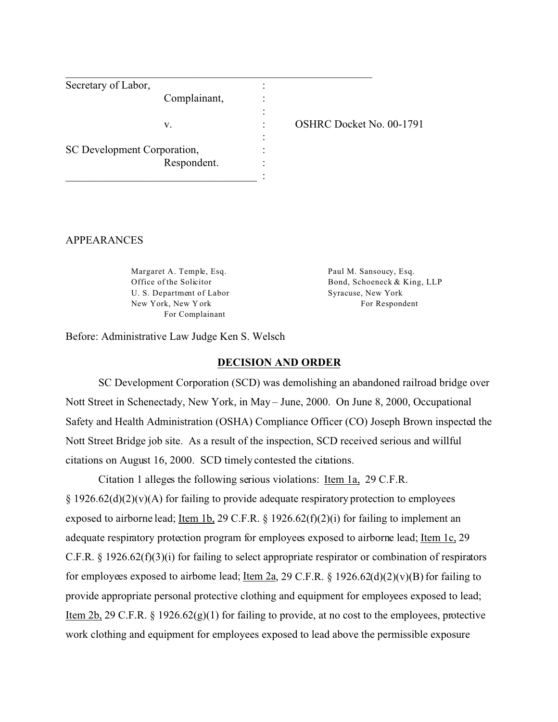| Secretary of Labor,         |                          |
|-----------------------------|--------------------------|
| Complainant,                |                          |
|                             |                          |
| v.                          | OSHRC Docket No. 00-1791 |
|                             |                          |
| SC Development Corporation, |                          |
| Respondent.                 |                          |
|                             |                          |

#### APPEARANCES

Margaret A. Temple, Esq. Office of the Solicitor U. S. Department of Labor New York, New Y ork For Complainant

Paul M. Sansoucy, Esq. Bond, Schoeneck & King, LLP Syracuse, New York For Respondent

Before: Administrative Law Judge Ken S. Welsch

#### **DECISION AND ORDER**

SC Development Corporation (SCD) was demolishing an abandoned railroad bridge over Nott Street in Schenectady, New York, in May – June, 2000. On June 8, 2000, Occupational Safety and Health Administration (OSHA) Compliance Officer (CO) Joseph Brown inspected the Nott Street Bridge job site. As a result of the inspection, SCD received serious and willful citations on August 16, 2000. SCD timely contested the citations.

Citation 1 alleges the following serious violations: Item 1a, 29 C.F.R.  $\S 1926.62(d)(2)(v)(A)$  for failing to provide adequate respiratory protection to employees exposed to airborne lead; Item 1b, 29 C.F.R. § 1926.62(f)(2)(i) for failing to implement an adequate respiratory protection program for employees exposed to airborne lead; Item 1c, 29 C.F.R. § 1926.62(f)(3)(i) for failing to select appropriate respirator or combination of respirators for employees exposed to airborne lead; <u>Item 2a</u>, 29 C.F.R. § 1926.62(d)(2)(v)(B) for failing to provide appropriate personal protective clothing and equipment for employees exposed to lead; Item 2b, 29 C.F.R. § 1926.62(g)(1) for failing to provide, at no cost to the employees, protective work clothing and equipment for employees exposed to lead above the permissible exposure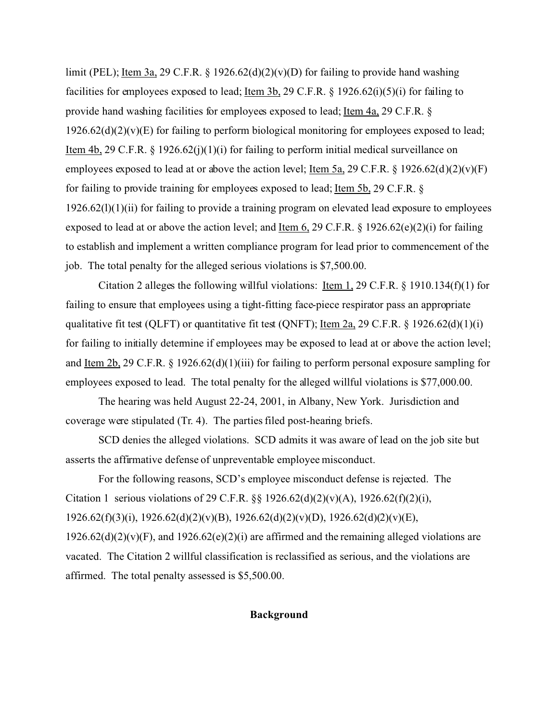limit (PEL); <u>Item 3a</u>, 29 C.F.R. § 1926.62(d)(2)(v)(D) for failing to provide hand washing facilities for employees exposed to lead; Item 3b, 29 C.F.R. § 1926.62(i)(5)(i) for failing to provide hand washing facilities for employees exposed to lead; Item 4a, 29 C.F.R. §  $1926.62(d)(2)(v)(E)$  for failing to perform biological monitoring for employees exposed to lead; Item 4b, 29 C.F.R. § 1926.62(j)(1)(i) for failing to perform initial medical surveillance on employees exposed to lead at or above the action level; <u>Item 5a,</u> 29 C.F.R. § 1926.62(d)(2)(v)(F) for failing to provide training for employees exposed to lead; Item 5b, 29 C.F.R. §  $1926.62(l)(1)(ii)$  for failing to provide a training program on elevated lead exposure to employees exposed to lead at or above the action level; and Item 6, 29 C.F.R. § 1926.62(e)(2)(i) for failing to establish and implement a written compliance program for lead prior to commencement of the job. The total penalty for the alleged serious violations is \$7,500.00.

Citation 2 alleges the following willful violations: Item 1, 29 C.F.R. § 1910.134(f)(1) for failing to ensure that employees using a tight-fitting face-piece respirator pass an appropriate qualitative fit test (QLFT) or quantitative fit test (QNFT); <u>Item 2a</u>, 29 C.F.R. § 1926.62(d)(1)(i) for failing to initially determine if employees may be exposed to lead at or above the action level; and Item 2b, 29 C.F.R. § 1926.62(d)(1)(iii) for failing to perform personal exposure sampling for employees exposed to lead. The total penalty for the alleged willful violations is \$77,000.00.

The hearing was held August 22-24, 2001, in Albany, New York. Jurisdiction and coverage were stipulated (Tr. 4). The parties filed post-hearing briefs.

SCD denies the alleged violations. SCD admits it was aware of lead on the job site but asserts the affirmative defense of unpreventable employee misconduct.

For the following reasons, SCD's employee misconduct defense is rejected. The Citation 1 serious violations of 29 C.F.R.  $\S$  1926.62(d)(2)(v)(A), 1926.62(f)(2)(i),  $1926.62(f)(3)(i)$ ,  $1926.62(d)(2)(v)(B)$ ,  $1926.62(d)(2)(v)(D)$ ,  $1926.62(d)(2)(v)(E)$ ,  $1926.62(d)(2)(v)(F)$ , and  $1926.62(e)(2)(i)$  are affirmed and the remaining alleged violations are vacated. The Citation 2 willful classification is reclassified as serious, and the violations are affirmed. The total penalty assessed is \$5,500.00.

### **Background**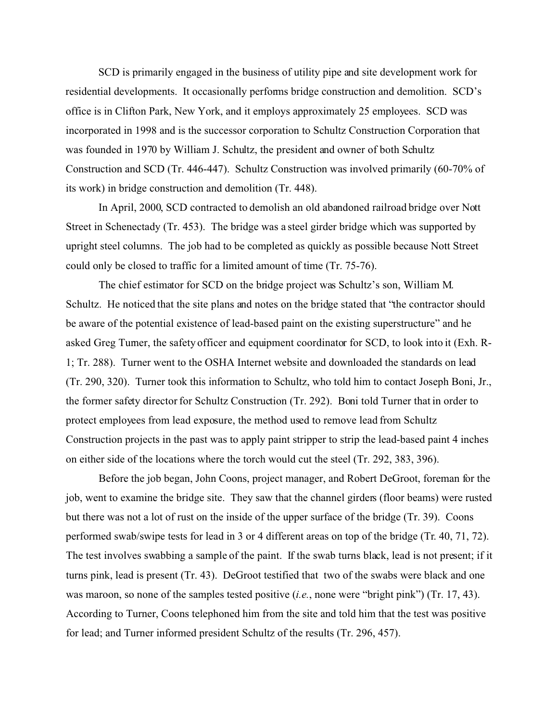SCD is primarily engaged in the business of utility pipe and site development work for residential developments. It occasionally performs bridge construction and demolition. SCD's office is in Clifton Park, New York, and it employs approximately 25 employees. SCD was incorporated in 1998 and is the successor corporation to Schultz Construction Corporation that was founded in 1970 by William J. Schultz, the president and owner of both Schultz Construction and SCD (Tr. 446-447). Schultz Construction was involved primarily (60-70% of its work) in bridge construction and demolition (Tr. 448).

In April, 2000, SCD contracted to demolish an old abandoned railroad bridge over Nott Street in Schenectady (Tr. 453). The bridge was a steel girder bridge which was supported by upright steel columns. The job had to be completed as quickly as possible because Nott Street could only be closed to traffic for a limited amount of time (Tr. 75-76).

The chief estimator for SCD on the bridge project was Schultz's son, William M. Schultz. He noticed that the site plans and notes on the bridge stated that "the contractor should be aware of the potential existence of lead-based paint on the existing superstructure" and he asked Greg Turner, the safety officer and equipment coordinator for SCD, to look into it (Exh. R-1; Tr. 288). Turner went to the OSHA Internet website and downloaded the standards on lead (Tr. 290, 320). Turner took this information to Schultz, who told him to contact Joseph Boni, Jr., the former safety director for Schultz Construction (Tr. 292). Boni told Turner that in order to protect employees from lead exposure, the method used to remove lead from Schultz Construction projects in the past was to apply paint stripper to strip the lead-based paint 4 inches on either side of the locations where the torch would cut the steel (Tr. 292, 383, 396).

Before the job began, John Coons, project manager, and Robert DeGroot, foreman for the job, went to examine the bridge site. They saw that the channel girders (floor beams) were rusted but there was not a lot of rust on the inside of the upper surface of the bridge (Tr. 39). Coons performed swab/swipe tests for lead in 3 or 4 different areas on top of the bridge (Tr. 40, 71, 72). The test involves swabbing a sample of the paint. If the swab turns black, lead is not present; if it turns pink, lead is present (Tr. 43). DeGroot testified that two of the swabs were black and one was maroon, so none of the samples tested positive *(i.e.*, none were "bright pink") (Tr. 17, 43). According to Turner, Coons telephoned him from the site and told him that the test was positive for lead; and Turner informed president Schultz of the results (Tr. 296, 457).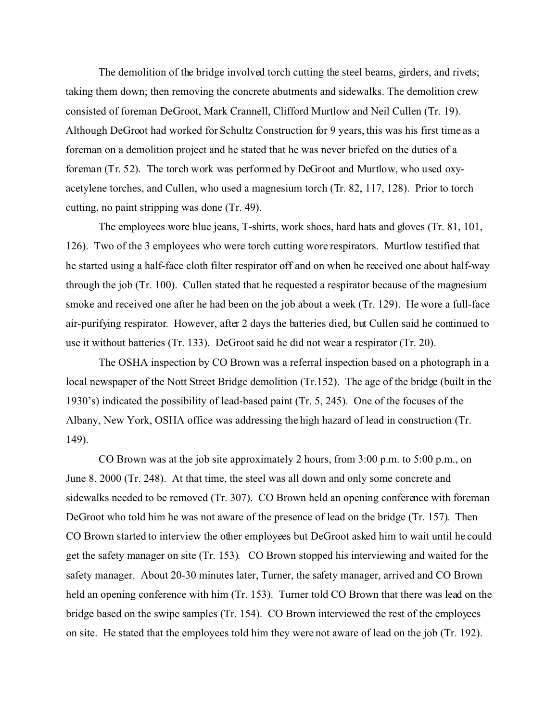The demolition of the bridge involved torch cutting the steel beams, girders, and rivets; taking them down; then removing the concrete abutments and sidewalks. The demolition crew consisted of foreman DeGroot, Mark Crannell, Clifford Murtlow and Neil Cullen (Tr. 19). Although DeGroot had worked for Schultz Construction for 9 years, this was his first time as a foreman on a demolition project and he stated that he was never briefed on the duties of a foreman (Tr. 52). The torch work was performed by DeGroot and Murtlow, who used oxyacetylene torches, and Cullen, who used a magnesium torch (Tr. 82, 117, 128). Prior to torch cutting, no paint stripping was done (Tr. 49).

The employees wore blue jeans, T-shirts, work shoes, hard hats and gloves (Tr. 81, 101, 126). Two of the 3 employees who were torch cutting wore respirators. Murtlow testified that he started using a half-face cloth filter respirator off and on when he received one about half-way through the job (Tr. 100). Cullen stated that he requested a respirator because of the magnesium smoke and received one after he had been on the job about a week (Tr. 129). He wore a full-face air-purifying respirator. However, after 2 days the batteries died, but Cullen said he continued to use it without batteries (Tr. 133). DeGroot said he did not wear a respirator (Tr. 20).

The OSHA inspection by CO Brown was a referral inspection based on a photograph in a local newspaper of the Nott Street Bridge demolition (Tr.152). The age of the bridge (built in the 1930's) indicated the possibility of lead-based paint (Tr. 5, 245). One of the focuses of the Albany, New York, OSHA office was addressing the high hazard of lead in construction (Tr. 149).

CO Brown was at the job site approximately 2 hours, from 3:00 p.m. to 5:00 p.m., on June 8, 2000 (Tr. 248). At that time, the steel was all down and only some concrete and sidewalks needed to be removed (Tr. 307). CO Brown held an opening conference with foreman DeGroot who told him he was not aware of the presence of lead on the bridge (Tr. 157). Then CO Brown started to interview the other employees but DeGroot asked him to wait until he could get the safety manager on site (Tr. 153). CO Brown stopped his interviewing and waited for the safety manager. About 20-30 minutes later, Turner, the safety manager, arrived and CO Brown held an opening conference with him (Tr. 153). Turner told CO Brown that there was lead on the bridge based on the swipe samples (Tr. 154). CO Brown interviewed the rest of the employees on site. He stated that the employees told him they were not aware of lead on the job (Tr. 192).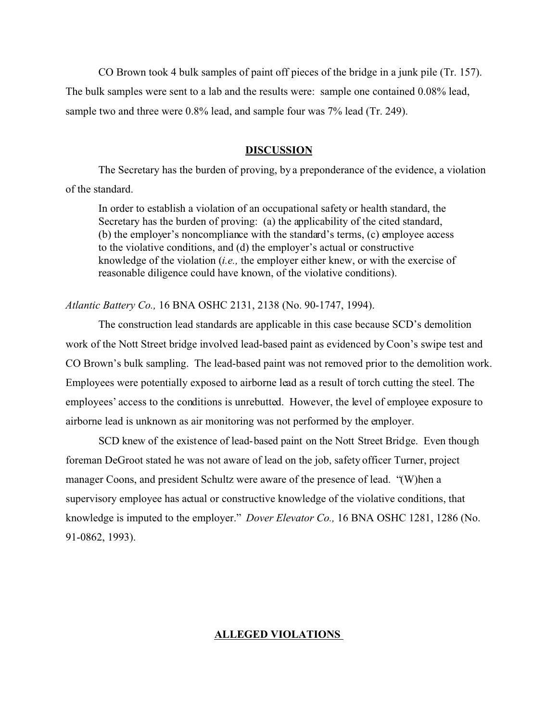CO Brown took 4 bulk samples of paint off pieces of the bridge in a junk pile (Tr. 157). The bulk samples were sent to a lab and the results were: sample one contained 0.08% lead, sample two and three were 0.8% lead, and sample four was 7% lead (Tr. 249).

### **DISCUSSION**

The Secretary has the burden of proving, by a preponderance of the evidence, a violation of the standard.

In order to establish a violation of an occupational safety or health standard, the Secretary has the burden of proving: (a) the applicability of the cited standard, (b) the employer's noncompliance with the standard's terms, (c) employee access to the violative conditions, and (d) the employer's actual or constructive knowledge of the violation (*i.e.,* the employer either knew, or with the exercise of reasonable diligence could have known, of the violative conditions).

### *Atlantic Battery Co.,* 16 BNA OSHC 2131, 2138 (No. 90-1747, 1994).

The construction lead standards are applicable in this case because SCD's demolition work of the Nott Street bridge involved lead-based paint as evidenced by Coon's swipe test and CO Brown's bulk sampling. The lead-based paint was not removed prior to the demolition work. Employees were potentially exposed to airborne lead as a result of torch cutting the steel. The employees' access to the conditions is unrebutted. However, the level of employee exposure to airborne lead is unknown as air monitoring was not performed by the employer.

SCD knew of the existence of lead-based paint on the Nott Street Bridge. Even though foreman DeGroot stated he was not aware of lead on the job, safety officer Turner, project manager Coons, and president Schultz were aware of the presence of lead. "(W)hen a supervisory employee has actual or constructive knowledge of the violative conditions, that knowledge is imputed to the employer." *Dover Elevator Co.,* 16 BNA OSHC 1281, 1286 (No. 91-0862, 1993).

#### **ALLEGED VIOLATIONS**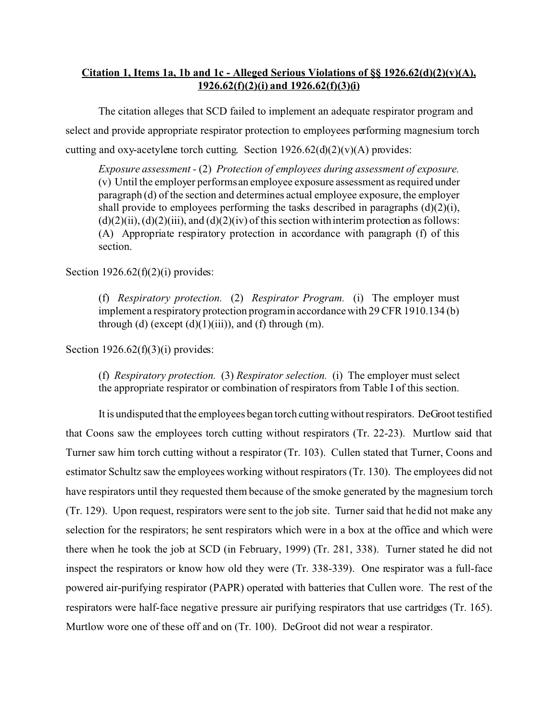# **Citation 1, Items 1a, 1b and 1c - Alleged Serious Violations of §§ 1926.62(d)(2)(v)(A), 1926.62(f)(2)(i) and 1926.62(f)(3)(i)**

The citation alleges that SCD failed to implement an adequate respirator program and select and provide appropriate respirator protection to employees performing magnesium torch cutting and oxy-acetylene torch cutting. Section  $1926.62(d)(2)(v)(A)$  provides:

*Exposure assessment -* (2) *Protection of employees during assessment of exposure.*  (v) Until the employer performs an employee exposure assessment as required under paragraph (d) of the section and determines actual employee exposure, the employer shall provide to employees performing the tasks described in paragraphs  $(d)(2)(i)$ ,  $(d)(2)(ii)$ ,  $(d)(2)(iii)$ , and  $(d)(2)(iv)$  of this section with interim protection as follows: (A) Appropriate respiratory protection in accordance with paragraph (f) of this section.

## Section  $1926.62(f)(2)(i)$  provides:

(f) *Respiratory protection.* (2) *Respirator Program.* (i) The employer must implement a respiratory protection programin accordance with 29 CFR 1910.134 (b) through (d) (except  $(d)(1)(iii)$ ), and (f) through (m).

Section  $1926.62(f)(3)(i)$  provides:

(f) *Respiratory protection.* (3) *Respirator selection.* (i) The employer must select the appropriate respirator or combination of respirators from Table I of this section.

It is undisputed that the employees began torch cutting without respirators. DeGroot testified that Coons saw the employees torch cutting without respirators (Tr. 22-23). Murtlow said that Turner saw him torch cutting without a respirator (Tr. 103). Cullen stated that Turner, Coons and estimator Schultz saw the employees working without respirators (Tr. 130). The employees did not have respirators until they requested them because of the smoke generated by the magnesium torch (Tr. 129). Upon request, respirators were sent to the job site. Turner said that he did not make any selection for the respirators; he sent respirators which were in a box at the office and which were there when he took the job at SCD (in February, 1999) (Tr. 281, 338). Turner stated he did not inspect the respirators or know how old they were (Tr. 338-339). One respirator was a full-face powered air-purifying respirator (PAPR) operated with batteries that Cullen wore. The rest of the respirators were half-face negative pressure air purifying respirators that use cartridges (Tr. 165). Murtlow wore one of these off and on (Tr. 100). DeGroot did not wear a respirator.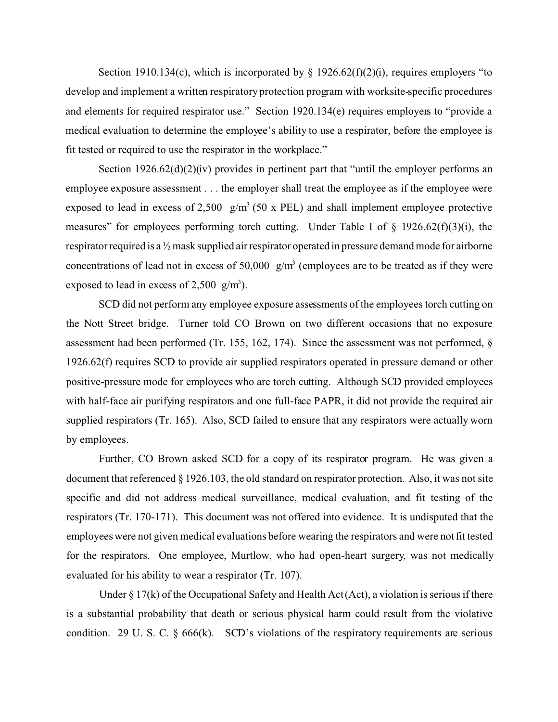Section 1910.134(c), which is incorporated by  $\S$  1926.62(f)(2)(i), requires employers "to develop and implement a written respiratory protection program with worksite-specific procedures and elements for required respirator use." Section 1920.134(e) requires employers to "provide a medical evaluation to determine the employee's ability to use a respirator, before the employee is fit tested or required to use the respirator in the workplace."

Section  $1926.62(d)(2)(iv)$  provides in pertinent part that "until the employer performs an employee exposure assessment . . . the employer shall treat the employee as if the employee were exposed to lead in excess of 2,500  $g/m<sup>3</sup>$  (50 x PEL) and shall implement employee protective measures" for employees performing torch cutting. Under Table I of  $\S$  1926.62(f)(3)(i), the respirator required is a ½ mask supplied air respirator operated in pressure demand mode for airborne concentrations of lead not in excess of  $50,000 \, \text{g/m}^3$  (employees are to be treated as if they were exposed to lead in excess of 2,500  $g/m<sup>3</sup>$ ).

SCD did not perform any employee exposure assessments of the employees torch cutting on the Nott Street bridge. Turner told CO Brown on two different occasions that no exposure assessment had been performed (Tr. 155, 162, 174). Since the assessment was not performed, § 1926.62(f) requires SCD to provide air supplied respirators operated in pressure demand or other positive-pressure mode for employees who are torch cutting. Although SCD provided employees with half-face air purifying respirators and one full-face PAPR, it did not provide the required air supplied respirators (Tr. 165). Also, SCD failed to ensure that any respirators were actually worn by employees.

Further, CO Brown asked SCD for a copy of its respirator program. He was given a document that referenced § 1926.103, the old standard on respirator protection. Also, it was not site specific and did not address medical surveillance, medical evaluation, and fit testing of the respirators (Tr. 170-171). This document was not offered into evidence. It is undisputed that the employees were not given medical evaluations before wearing the respirators and were not fit tested for the respirators. One employee, Murtlow, who had open-heart surgery, was not medically evaluated for his ability to wear a respirator (Tr. 107).

Under  $\S 17(k)$  of the Occupational Safety and Health Act (Act), a violation is serious if there is a substantial probability that death or serious physical harm could result from the violative condition. 29 U. S. C.  $\S$  666(k). SCD's violations of the respiratory requirements are serious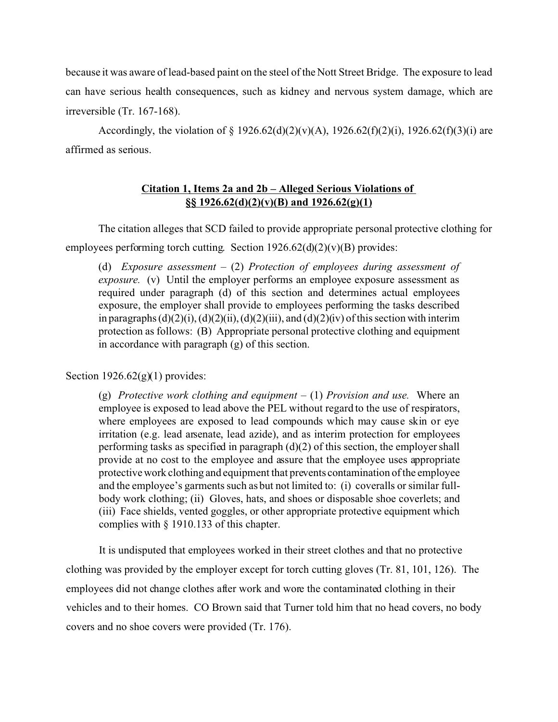because it was aware of lead-based paint on the steel of the Nott Street Bridge. The exposure to lead can have serious health consequences, such as kidney and nervous system damage, which are irreversible (Tr. 167-168).

Accordingly, the violation of  $\S 1926.62(d)(2)(v)(A)$ ,  $1926.62(f)(2)(i)$ ,  $1926.62(f)(3)(i)$  are affirmed as serious.

# **Citation 1, Items 2a and 2b – Alleged Serious Violations of §§ 1926.62(d)(2)(v)(B) and 1926.62(g)(1)**

The citation alleges that SCD failed to provide appropriate personal protective clothing for employees performing torch cutting. Section  $1926.62(d)(2)(v)(B)$  provides:

(d) *Exposure assessment –* (2) *Protection of employees during assessment of exposure.* (v) Until the employer performs an employee exposure assessment as required under paragraph (d) of this section and determines actual employees exposure, the employer shall provide to employees performing the tasks described in paragraphs  $(d)(2)(i)$ ,  $(d)(2)(ii)$ ,  $(d)(2)(iii)$ , and  $(d)(2)(iv)$  of this section with interim protection as follows: (B) Appropriate personal protective clothing and equipment in accordance with paragraph (g) of this section.

Section  $1926.62(g)(1)$  provides:

(g) *Protective work clothing and equipment –* (1) *Provision and use.* Where an employee is exposed to lead above the PEL without regard to the use of respirators, where employees are exposed to lead compounds which may cause skin or eye irritation (e.g. lead arsenate, lead azide), and as interim protection for employees performing tasks as specified in paragraph (d)(2) of this section, the employer shall provide at no cost to the employee and assure that the employee uses appropriate protective work clothing and equipment that prevents contamination of the employee and the employee's garments such as but not limited to: (i) coveralls or similar fullbody work clothing; (ii) Gloves, hats, and shoes or disposable shoe coverlets; and (iii) Face shields, vented goggles, or other appropriate protective equipment which complies with § 1910.133 of this chapter.

It is undisputed that employees worked in their street clothes and that no protective clothing was provided by the employer except for torch cutting gloves (Tr. 81, 101, 126). The employees did not change clothes after work and wore the contaminated clothing in their vehicles and to their homes. CO Brown said that Turner told him that no head covers, no body covers and no shoe covers were provided (Tr. 176).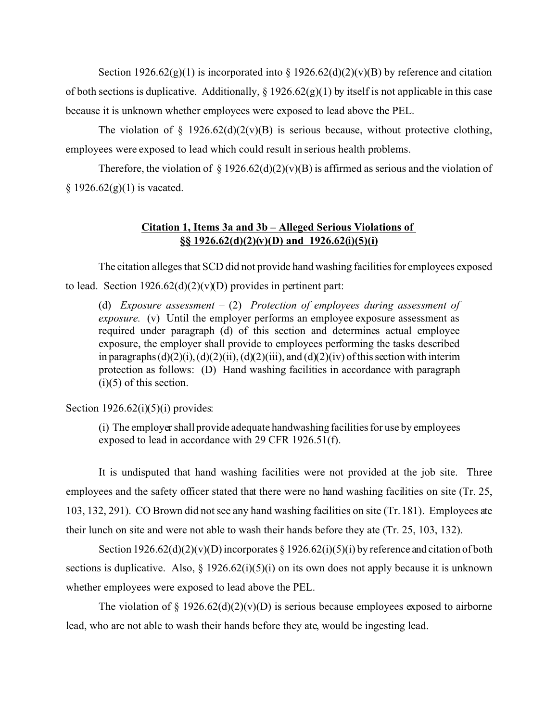Section 1926.62(g)(1) is incorporated into  $\S 1926.62(d)(2)(v)(B)$  by reference and citation of both sections is duplicative. Additionally,  $\S 1926.62(g)(1)$  by itself is not applicable in this case because it is unknown whether employees were exposed to lead above the PEL.

The violation of  $\S$  1926.62(d)(2(v)(B) is serious because, without protective clothing, employees were exposed to lead which could result in serious health problems.

Therefore, the violation of  $\S 1926.62(d)(2)(v)(B)$  is affirmed as serious and the violation of  $§$  1926.62(g)(1) is vacated.

# **Citation 1, Items 3a and 3b – Alleged Serious Violations of §§ 1926.62(d)(2)(v)(D) and 1926.62(i)(5)(i)**

The citation alleges that SCD did not provide hand washing facilities for employees exposed to lead. Section  $1926.62(d)(2)(v)(D)$  provides in pertinent part:

(d) *Exposure assessment –* (2) *Protection of employees during assessment of exposure.* (v) Until the employer performs an employee exposure assessment as required under paragraph (d) of this section and determines actual employee exposure, the employer shall provide to employees performing the tasks described in paragraphs  $(d)(2)(i)$ ,  $(d)(2)(ii)$ ,  $(d)(2)(iii)$ , and  $(d)(2)(iv)$  of this section with interim protection as follows: (D) Hand washing facilities in accordance with paragraph  $(i)(5)$  of this section.

Section  $1926.62(i)(5)(i)$  provides:

(i) The employer shall provide adequate handwashing facilities for use by employees exposed to lead in accordance with 29 CFR 1926.51(f).

It is undisputed that hand washing facilities were not provided at the job site. Three employees and the safety officer stated that there were no hand washing facilities on site (Tr. 25, 103, 132, 291). CO Brown did not see any hand washing facilities on site (Tr. 181). Employees ate their lunch on site and were not able to wash their hands before they ate (Tr. 25, 103, 132).

Section  $1926.62(d)(2)(v)(D)$  incorporates § 1926.62(i)(5)(i) by reference and citation of both sections is duplicative. Also,  $\S$  1926.62(i)(5)(i) on its own does not apply because it is unknown whether employees were exposed to lead above the PEL.

The violation of § 1926.62(d)(2)(v)(D) is serious because employees exposed to airborne lead, who are not able to wash their hands before they ate, would be ingesting lead.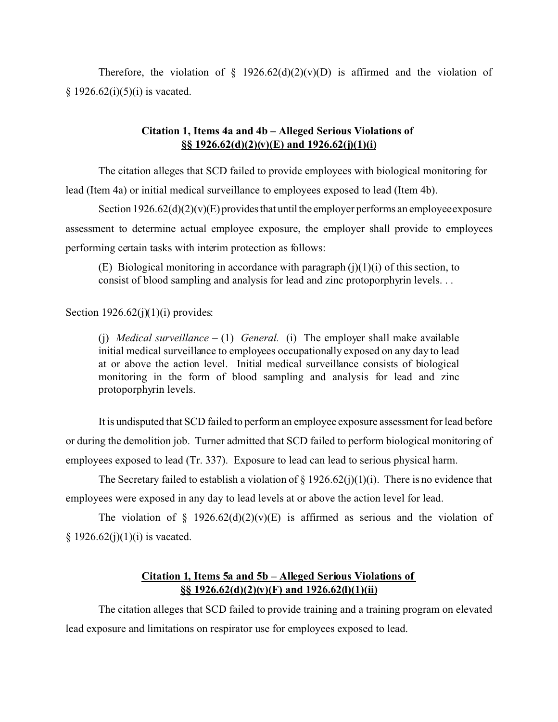Therefore, the violation of  $\S$  1926.62(d)(2)(v)(D) is affirmed and the violation of  $§ 1926.62(i)(5)(i)$  is vacated.

# **Citation 1, Items 4a and 4b – Alleged Serious Violations of §§ 1926.62(d)(2)(v)(E) and 1926.62(j)(1)(i)**

The citation alleges that SCD failed to provide employees with biological monitoring for lead (Item 4a) or initial medical surveillance to employees exposed to lead (Item 4b).

Section  $1926.62(d)(2)(v)(E)$  provides that until the employer performs an employee exposure assessment to determine actual employee exposure, the employer shall provide to employees performing certain tasks with interim protection as follows:

(E) Biological monitoring in accordance with paragraph  $(i)(1)(i)$  of this section, to consist of blood sampling and analysis for lead and zinc protoporphyrin levels. . .

Section  $1926.62(j)(1)(i)$  provides:

(i) *Medical surveillance – (1) General.* (i) The employer shall make available initial medical surveillance to employees occupationally exposed on any day to lead at or above the action level. Initial medical surveillance consists of biological monitoring in the form of blood sampling and analysis for lead and zinc protoporphyrin levels.

It is undisputed that SCD failed to perform an employee exposure assessment for lead before or during the demolition job. Turner admitted that SCD failed to perform biological monitoring of employees exposed to lead (Tr. 337). Exposure to lead can lead to serious physical harm.

The Secretary failed to establish a violation of  $\S 1926.62(i)(1)(i)$ . There is no evidence that employees were exposed in any day to lead levels at or above the action level for lead.

The violation of § 1926.62(d)(2)(v)(E) is affirmed as serious and the violation of  $§ 1926.62(j)(1)(i)$  is vacated.

# **Citation 1, Items 5a and 5b – Alleged Serious Violations of §§ 1926.62(d)(2)(v)(F) and 1926.62(l)(1)(ii)**

The citation alleges that SCD failed to provide training and a training program on elevated lead exposure and limitations on respirator use for employees exposed to lead.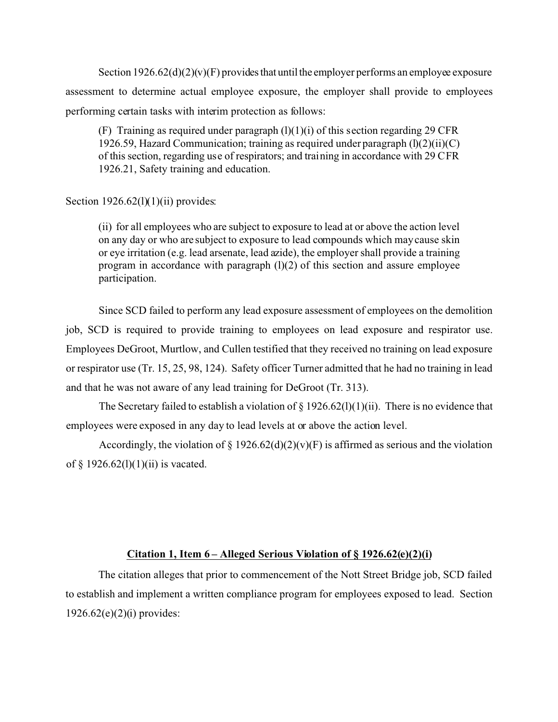Section  $1926.62(d)(2)(v)$  F) provides that until the employer performs an employee exposure assessment to determine actual employee exposure, the employer shall provide to employees performing certain tasks with interim protection as follows:

(F) Training as required under paragraph  $(l)(1)(i)$  of this section regarding 29 CFR 1926.59, Hazard Communication; training as required under paragraph  $(l)(2)(ii)(C)$ of this section, regarding use of respirators; and training in accordance with 29 CFR 1926.21, Safety training and education.

## Section  $1926.62(1)(1)(ii)$  provides:

(ii) for all employees who are subject to exposure to lead at or above the action level on any day or who are subject to exposure to lead compounds which may cause skin or eye irritation (e.g. lead arsenate, lead azide), the employer shall provide a training program in accordance with paragraph  $(l)(2)$  of this section and assure employee participation.

Since SCD failed to perform any lead exposure assessment of employees on the demolition job, SCD is required to provide training to employees on lead exposure and respirator use. Employees DeGroot, Murtlow, and Cullen testified that they received no training on lead exposure or respirator use (Tr. 15, 25, 98, 124). Safety officer Turner admitted that he had no training in lead and that he was not aware of any lead training for DeGroot (Tr. 313).

The Secretary failed to establish a violation of  $\S 1926.62(1)(1)(ii)$ . There is no evidence that employees were exposed in any day to lead levels at or above the action level.

Accordingly, the violation of  $\S 1926.62(d)(2)(v)$  (F) is affirmed as serious and the violation of  $\S$  1926.62(1)(1)(ii) is vacated.

## **Citation 1, Item 6 – Alleged Serious Violation of § 1926.62(e)(2)(i)**

The citation alleges that prior to commencement of the Nott Street Bridge job, SCD failed to establish and implement a written compliance program for employees exposed to lead. Section 1926.62(e)(2)(i) provides: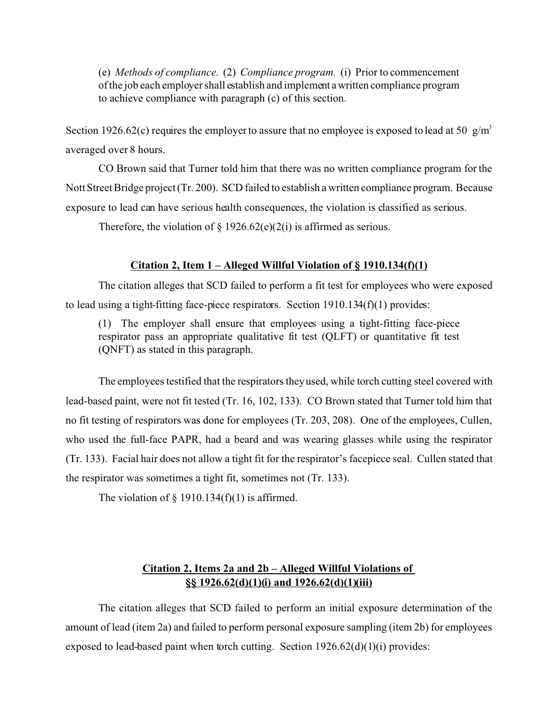(e) *Methods of compliance.* (2) *Compliance program.* (i) Prior to commencement of the job each employer shall establish and implement awritten compliance program to achieve compliance with paragraph (c) of this section.

Section 1926.62(c) requires the employer to assure that no employee is exposed to lead at 50  $\frac{g}{m^3}$ averaged over 8 hours.

CO Brown said that Turner told him that there was no written compliance program for the Nott Street Bridge project (Tr. 200). SCD failed to establish a written compliance program. Because exposure to lead can have serious health consequences, the violation is classified as serious.

Therefore, the violation of  $\S 1926.62(e)(2(i))$  is affirmed as serious.

## **Citation 2, Item 1 – Alleged Willful Violation of § 1910.134(f)(1)**

The citation alleges that SCD failed to perform a fit test for employees who were exposed to lead using a tight-fitting face-piece respirators. Section 1910.134(f)(1) provides:

(1) The employer shall ensure that employees using a tight-fitting face-piece respirator pass an appropriate qualitative fit test (QLFT) or quantitative fit test (QNFT) as stated in this paragraph.

The employees testified that the respirators they used, while torch cutting steel covered with lead-based paint, were not fit tested (Tr. 16, 102, 133). CO Brown stated that Turner told him that no fit testing of respirators was done for employees (Tr. 203, 208). One of the employees, Cullen, who used the full-face PAPR, had a beard and was wearing glasses while using the respirator (Tr. 133). Facial hair does not allow a tight fit for the respirator's facepiece seal. Cullen stated that the respirator was sometimes a tight fit, sometimes not (Tr. 133).

The violation of  $\S$  1910.134(f)(1) is affirmed.

# **Citation 2, Items 2a and 2b – Alleged Willful Violations of §§ 1926.62(d)(1)(i) and 1926.62(d)(1)(iii)**

The citation alleges that SCD failed to perform an initial exposure determination of the amount of lead (item 2a) and failed to perform personal exposure sampling (item 2b) for employees exposed to lead-based paint when torch cutting. Section  $1926.62(d)(1)(i)$  provides: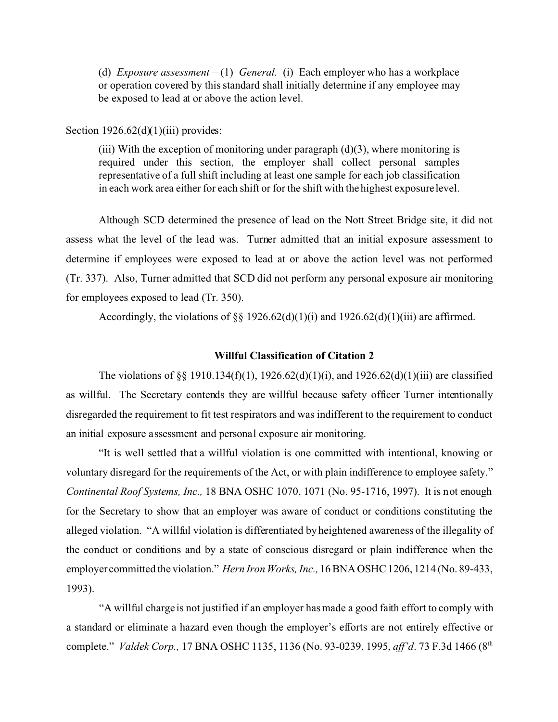(d) *Exposure assessment –* (1) *General.* (i) Each employer who has a workplace or operation covered by this standard shall initially determine if any employee may be exposed to lead at or above the action level.

Section  $1926.62(d)(1)(iii)$  provides:

(iii) With the exception of monitoring under paragraph  $(d)(3)$ , where monitoring is required under this section, the employer shall collect personal samples representative of a full shift including at least one sample for each job classification in each work area either for each shift or for the shift with the highest exposure level.

Although SCD determined the presence of lead on the Nott Street Bridge site, it did not assess what the level of the lead was. Turner admitted that an initial exposure assessment to determine if employees were exposed to lead at or above the action level was not performed (Tr. 337). Also, Turner admitted that SCD did not perform any personal exposure air monitoring for employees exposed to lead (Tr. 350).

Accordingly, the violations of  $\S\S 1926.62(d)(1)(i)$  and  $1926.62(d)(1)(iii)$  are affirmed.

## **Willful Classification of Citation 2**

The violations of §§ 1910.134(f)(1), 1926.62(d)(1)(i), and 1926.62(d)(1)(iii) are classified as willful. The Secretary contends they are willful because safety officer Turner intentionally disregarded the requirement to fit test respirators and was indifferent to the requirement to conduct an initial exposure assessment and personal exposure air monitoring.

"It is well settled that a willful violation is one committed with intentional, knowing or voluntary disregard for the requirements of the Act, or with plain indifference to employee safety." *Continental Roof Systems, Inc.,* 18 BNA OSHC 1070, 1071 (No. 95-1716, 1997). It is not enough for the Secretary to show that an employer was aware of conduct or conditions constituting the alleged violation. "A willful violation is differentiated by heightened awareness of the illegality of the conduct or conditions and by a state of conscious disregard or plain indifference when the employer committed the violation." *Hern Iron Works, Inc.,* 16 BNA OSHC 1206, 1214 (No. 89-433, 1993).

"A willful charge is not justified if an employer has made a good faith effort to comply with a standard or eliminate a hazard even though the employer's efforts are not entirely effective or complete." *Valdek Corp.,* 17 BNA OSHC 1135, 1136 (No. 93-0239, 1995, *aff'd*. 73 F.3d 1466 (8th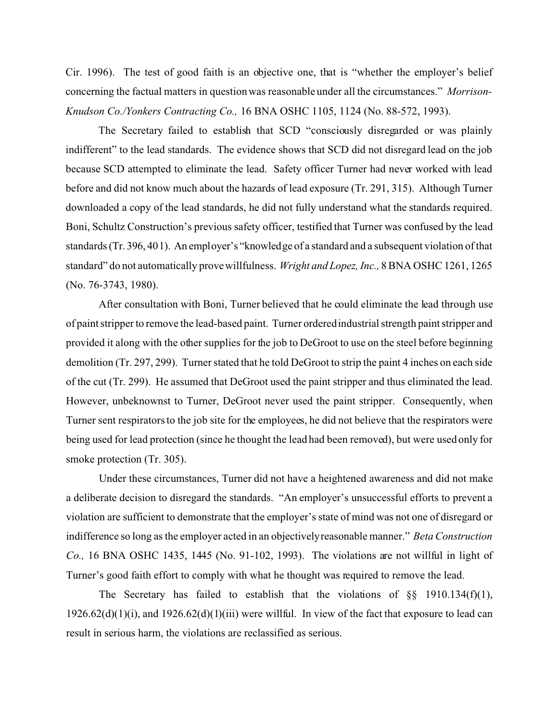Cir. 1996). The test of good faith is an objective one, that is "whether the employer's belief concerning the factual matters in question was reasonable under all the circumstances." *Morrison-Knudson Co./Yonkers Contracting Co.,* 16 BNA OSHC 1105, 1124 (No. 88-572, 1993).

The Secretary failed to establish that SCD "consciously disregarded or was plainly indifferent" to the lead standards. The evidence shows that SCD did not disregard lead on the job because SCD attempted to eliminate the lead. Safety officer Turner had never worked with lead before and did not know much about the hazards of lead exposure (Tr. 291, 315). Although Turner downloaded a copy of the lead standards, he did not fully understand what the standards required. Boni, Schultz Construction's previous safety officer, testified that Turner was confused by the lead standards (Tr. 396, 401). An employer's "knowledge of a standard and a subsequent violation of that standard" do not automatically prove willfulness. *Wright and Lopez, Inc.,* 8 BNA OSHC 1261, 1265 (No. 76-3743, 1980).

After consultation with Boni, Turner believed that he could eliminate the lead through use of paint stripper to remove the lead-based paint. Turner ordered industrial strength paint stripper and provided it along with the other supplies for the job to DeGroot to use on the steel before beginning demolition (Tr. 297, 299). Turner stated that he told DeGroot to strip the paint 4 inches on each side of the cut (Tr. 299). He assumed that DeGroot used the paint stripper and thus eliminated the lead. However, unbeknownst to Turner, DeGroot never used the paint stripper. Consequently, when Turner sent respirators to the job site for the employees, he did not believe that the respirators were being used for lead protection (since he thought the lead had been removed), but were used only for smoke protection (Tr. 305).

Under these circumstances, Turner did not have a heightened awareness and did not make a deliberate decision to disregard the standards. "An employer's unsuccessful efforts to prevent a violation are sufficient to demonstrate that the employer's state of mind was not one of disregard or indifference so long as the employer acted in an objectivelyreasonable manner." *Beta Construction Co.,* 16 BNA OSHC 1435, 1445 (No. 91-102, 1993). The violations are not willful in light of Turner's good faith effort to comply with what he thought was required to remove the lead.

The Secretary has failed to establish that the violations of  $\S\S$  1910.134(f)(1),  $1926.62(d)(1)(i)$ , and  $1926.62(d)(1)(iii)$  were willful. In view of the fact that exposure to lead can result in serious harm, the violations are reclassified as serious.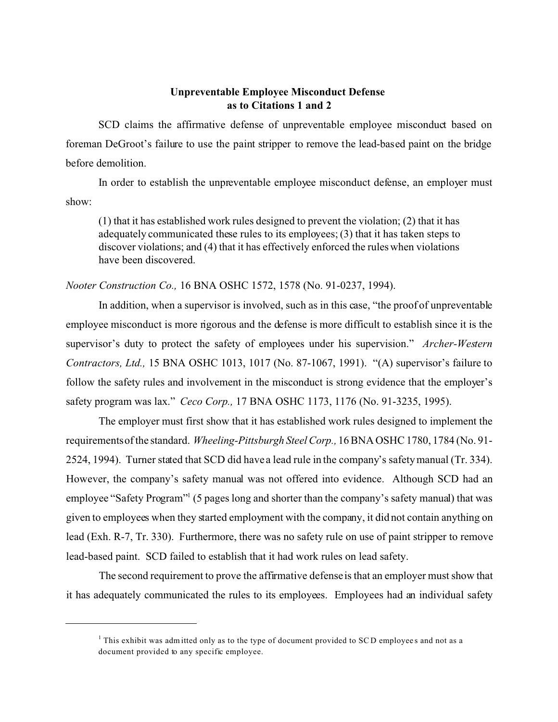## **Unpreventable Employee Misconduct Defense as to Citations 1 and 2**

SCD claims the affirmative defense of unpreventable employee misconduct based on foreman DeGroot's failure to use the paint stripper to remove the lead-based paint on the bridge before demolition.

In order to establish the unpreventable employee misconduct defense, an employer must show:

(1) that it has established work rules designed to prevent the violation; (2) that it has adequately communicated these rules to its employees; (3) that it has taken steps to discover violations; and (4) that it has effectively enforced the rules when violations have been discovered.

## *Nooter Construction Co.,* 16 BNA OSHC 1572, 1578 (No. 91-0237, 1994).

In addition, when a supervisor is involved, such as in this case, "the proof of unpreventable employee misconduct is more rigorous and the defense is more difficult to establish since it is the supervisor's duty to protect the safety of employees under his supervision." *Archer-Western Contractors, Ltd.,* 15 BNA OSHC 1013, 1017 (No. 87-1067, 1991). "(A) supervisor's failure to follow the safety rules and involvement in the misconduct is strong evidence that the employer's safety program was lax." *Ceco Corp.,* 17 BNA OSHC 1173, 1176 (No. 91-3235, 1995).

The employer must first show that it has established work rules designed to implement the requirementsof the standard. *Wheeling-Pittsburgh Steel Corp.,* 16 BNA OSHC 1780, 1784 (No. 91- 2524, 1994). Turner stated that SCD did have a lead rule in the company's safety manual (Tr. 334). However, the company's safety manual was not offered into evidence. Although SCD had an employee "Safety Program"<sup>1</sup> (5 pages long and shorter than the company's safety manual) that was given to employees when they started employment with the company, it did not contain anything on lead (Exh. R-7, Tr. 330). Furthermore, there was no safety rule on use of paint stripper to remove lead-based paint. SCD failed to establish that it had work rules on lead safety.

The second requirement to prove the affirmative defense is that an employer must show that it has adequately communicated the rules to its employees. Employees had an individual safety

 $1$  This exhibit was adm itted only as to the type of document provided to SCD employees and not as a document provided to any specific employee.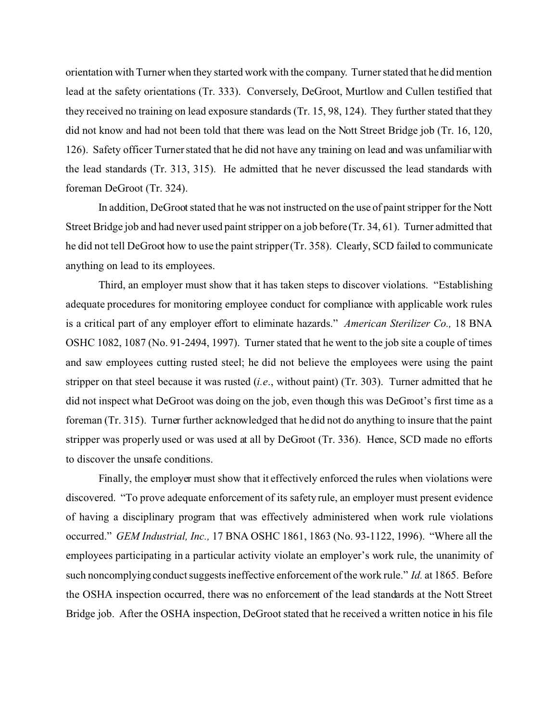orientation with Turner when they started work with the company. Turner stated that he did mention lead at the safety orientations (Tr. 333). Conversely, DeGroot, Murtlow and Cullen testified that they received no training on lead exposure standards (Tr. 15, 98, 124). They further stated that they did not know and had not been told that there was lead on the Nott Street Bridge job (Tr. 16, 120, 126). Safety officer Turner stated that he did not have any training on lead and was unfamiliar with the lead standards (Tr. 313, 315). He admitted that he never discussed the lead standards with foreman DeGroot (Tr. 324).

In addition, DeGroot stated that he was not instructed on the use of paint stripper for the Nott Street Bridge job and had never used paint stripper on a job before (Tr. 34, 61). Turner admitted that he did not tell DeGroot how to use the paint stripper (Tr. 358). Clearly, SCD failed to communicate anything on lead to its employees.

Third, an employer must show that it has taken steps to discover violations. "Establishing adequate procedures for monitoring employee conduct for compliance with applicable work rules is a critical part of any employer effort to eliminate hazards." *American Sterilizer Co.,* 18 BNA OSHC 1082, 1087 (No. 91-2494, 1997). Turner stated that he went to the job site a couple of times and saw employees cutting rusted steel; he did not believe the employees were using the paint stripper on that steel because it was rusted (*i.e*., without paint) (Tr. 303). Turner admitted that he did not inspect what DeGroot was doing on the job, even though this was DeGroot's first time as a foreman (Tr. 315). Turner further acknowledged that he did not do anything to insure that the paint stripper was properly used or was used at all by DeGroot (Tr. 336). Hence, SCD made no efforts to discover the unsafe conditions.

Finally, the employer must show that it effectively enforced the rules when violations were discovered. "To prove adequate enforcement of its safety rule, an employer must present evidence of having a disciplinary program that was effectively administered when work rule violations occurred." *GEM Industrial, Inc.,* 17 BNA OSHC 1861, 1863 (No. 93-1122, 1996). "Where all the employees participating in a particular activity violate an employer's work rule, the unanimity of such noncomplying conduct suggests ineffective enforcement of the work rule." *Id.* at 1865. Before the OSHA inspection occurred, there was no enforcement of the lead standards at the Nott Street Bridge job. After the OSHA inspection, DeGroot stated that he received a written notice in his file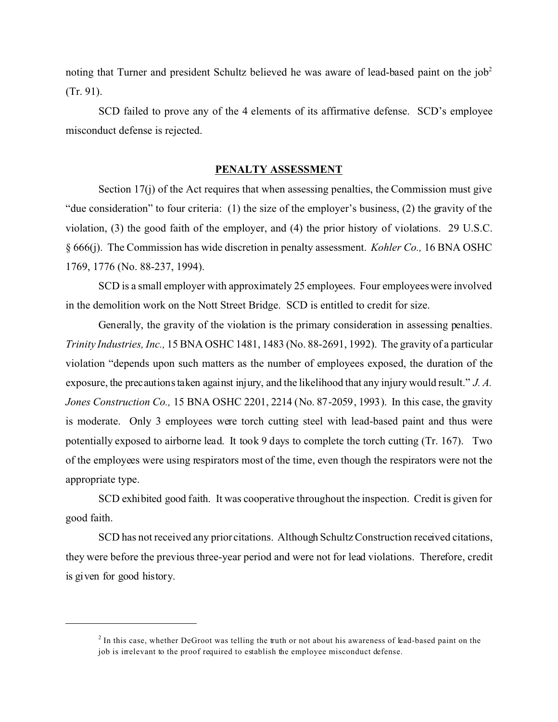noting that Turner and president Schultz believed he was aware of lead-based paint on the  $job<sup>2</sup>$ (Tr. 91).

SCD failed to prove any of the 4 elements of its affirmative defense. SCD's employee misconduct defense is rejected.

#### **PENALTY ASSESSMENT**

Section 17(j) of the Act requires that when assessing penalties, the Commission must give "due consideration" to four criteria: (1) the size of the employer's business, (2) the gravity of the violation, (3) the good faith of the employer, and (4) the prior history of violations. 29 U.S.C. § 666(j). The Commission has wide discretion in penalty assessment. *Kohler Co.,* 16 BNA OSHC 1769, 1776 (No. 88-237, 1994).

SCD is a small employer with approximately 25 employees. Four employees were involved in the demolition work on the Nott Street Bridge. SCD is entitled to credit for size.

Generally, the gravity of the violation is the primary consideration in assessing penalties. *Trinity Industries, Inc.,* 15 BNA OSHC 1481, 1483 (No. 88-2691, 1992). The gravity of a particular violation "depends upon such matters as the number of employees exposed, the duration of the exposure, the precautions taken against injury, and the likelihood that any injury would result." *J. A. Jones Construction Co.,* 15 BNA OSHC 2201, 2214 (No. 87-2059, 1993). In this case, the gravity is moderate. Only 3 employees were torch cutting steel with lead-based paint and thus were potentially exposed to airborne lead. It took 9 days to complete the torch cutting (Tr. 167). Two of the employees were using respirators most of the time, even though the respirators were not the appropriate type.

SCD exhibited good faith. It was cooperative throughout the inspection. Credit is given for good faith.

SCD has not received any prior citations. Although Schultz Construction received citations, they were before the previous three-year period and were not for lead violations. Therefore, credit is given for good history.

 $2^{2}$  In this case, whether DeGroot was telling the truth or not about his awareness of lead-based paint on the job is irrelevant to the proof required to establish the employee misconduct defense.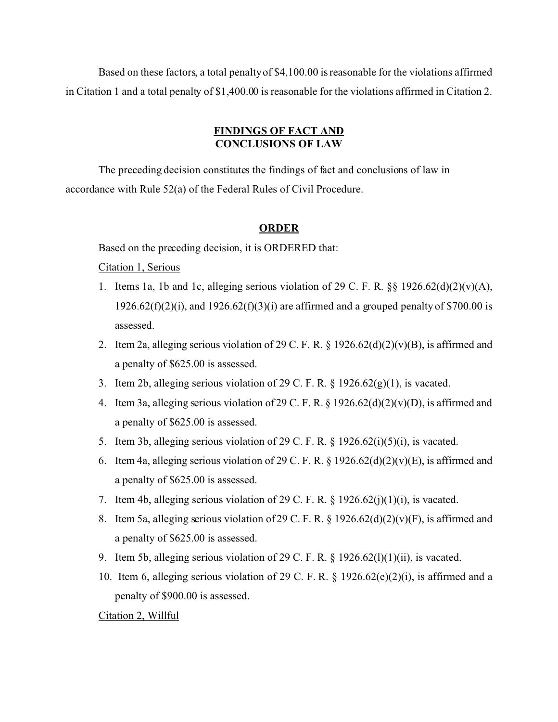Based on these factors, a total penalty of \$4,100.00 is reasonable for the violations affirmed in Citation 1 and a total penalty of \$1,400.00 is reasonable for the violations affirmed in Citation 2.

# **FINDINGS OF FACT AND CONCLUSIONS OF LAW**

The preceding decision constitutes the findings of fact and conclusions of law in accordance with Rule 52(a) of the Federal Rules of Civil Procedure.

## **ORDER**

Based on the preceding decision, it is ORDERED that:

## Citation 1, Serious

- 1. Items 1a, 1b and 1c, alleging serious violation of 29 C. F. R.  $\S$ § 1926.62(d)(2)(v)(A),  $1926.62(f)(2)(i)$ , and  $1926.62(f)(3)(i)$  are affirmed and a grouped penalty of \$700.00 is assessed.
- 2. Item 2a, alleging serious violation of 29 C. F. R. § 1926.62(d)(2)(v)(B), is affirmed and a penalty of \$625.00 is assessed.
- 3. Item 2b, alleging serious violation of 29 C. F. R. § 1926.62(g)(1), is vacated.
- 4. Item 3a, alleging serious violation of 29 C. F. R. § 1926.62(d)(2)(v)(D), is affirmed and a penalty of \$625.00 is assessed.
- 5. Item 3b, alleging serious violation of 29 C. F. R. § 1926.62(i)(5)(i), is vacated.
- 6. Item 4a, alleging serious violation of 29 C. F. R. § 1926.62(d)(2)(v)(E), is affirmed and a penalty of \$625.00 is assessed.
- 7. Item 4b, alleging serious violation of 29 C. F. R. § 1926.62(j)(1)(i), is vacated.
- 8. Item 5a, alleging serious violation of 29 C. F. R. § 1926.62(d)(2)(v)(F), is affirmed and a penalty of \$625.00 is assessed.
- 9. Item 5b, alleging serious violation of 29 C. F. R. § 1926.62(l)(1)(ii), is vacated.
- 10. Item 6, alleging serious violation of 29 C. F. R. § 1926.62(e)(2)(i), is affirmed and a penalty of \$900.00 is assessed.

### Citation 2, Willful